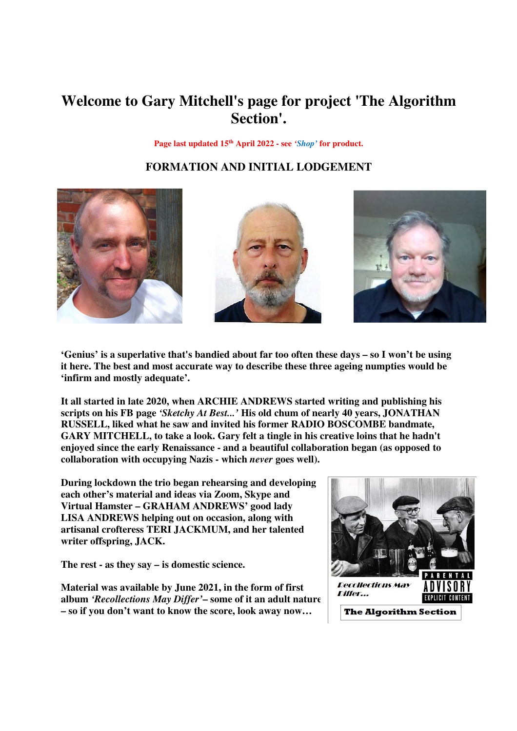# **Welcome to Gary Mitchell's page for project 'The Algorithm Section'.**

**Page last updated 15th April 2022 - see** *'Shop'* **for product.** 

## **FORMATION AND INITIAL LODGEMENT**







**'Genius' is a superlative that's bandied about far too often these days – so I won't be using it here. The best and most accurate way to describe these three ageing numpties would be 'infirm and mostly adequate'.** 

**It all started in late 2020, when ARCHIE ANDREWS started writing and publishing his scripts on his FB page** *'Sketchy At Best...'* **His old chum of nearly 40 years, JONATHAN RUSSELL, liked what he saw and invited his former RADIO BOSCOMBE bandmate, GARY MITCHELL, to take a look. Gary felt a tingle in his creative loins that he hadn't enjoyed since the early Renaissance - and a beautiful collaboration began (as opposed to collaboration with occupying Nazis - which** *never* **goes well).** 

**During lockdown the trio began rehearsing and developing each other's material and ideas via Zoom, Skype and Virtual Hamster – GRAHAM ANDREWS' good lady LISA ANDREWS helping out on occasion, along with artisanal crofteress TERI JACKMUM, and her talented writer offspring, JACK.** 

**The rest - as they say – is domestic science.** 

**Material was available by June 2021, in the form of first album** *'Recollections May Differ'***– some of it an adult nature – so if you don't want to know the score, look away now…** 

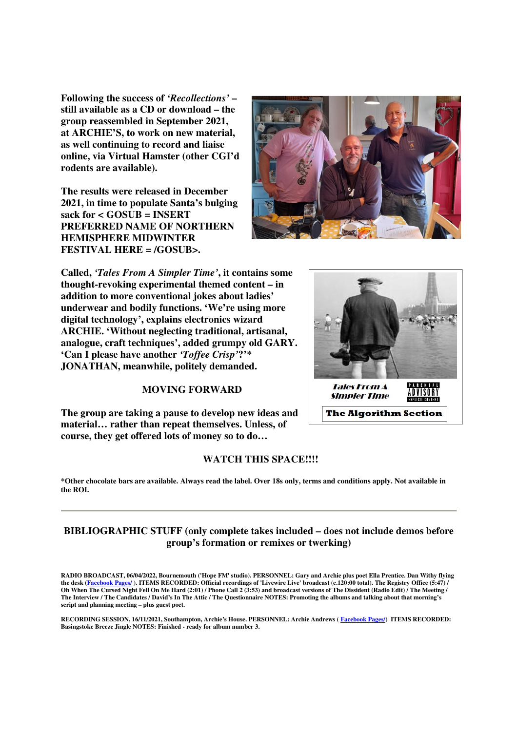**Following the success of** *'Recollections'* **– still available as a CD or download – the group reassembled in September 2021, at ARCHIE'S, to work on new material, as well continuing to record and liaise online, via Virtual Hamster (other CGI'd rodents are available).** 

**The results were released in December 2021, in time to populate Santa's bulging sack for < GOSUB = INSERT PREFERRED NAME OF NORTHERN HEMISPHERE MIDWINTER FESTIVAL HERE = /GOSUB>.** 



**Called,** *'Tales From A Simpler Time'***, it contains some thought-revoking experimental themed content – in addition to more conventional jokes about ladies' underwear and bodily functions. 'We're using more digital technology', explains electronics wizard ARCHIE. 'Without neglecting traditional, artisanal, analogue, craft techniques', added grumpy old GARY. 'Can I please have another** *'Toffee Crisp'***?'\* JONATHAN, meanwhile, politely demanded.** 

### **MOVING FORWARD**

**The group are taking a pause to develop new ideas and material… rather than repeat themselves. Unless, of course, they get offered lots of money so to do…** 

#### **WATCH THIS SPACE!!!!**

**\*Other chocolate bars are available. Always read the label. Over 18s only, terms and conditions apply. Not available in the ROI.** 

### **BIBLIOGRAPHIC STUFF (only complete takes included – does not include demos before group's formation or remixes or twerking)**

**RADIO BROADCAST, 06/04/2022, Bournemouth ('Hope FM' studio). PERSONNEL: Gary and Archie plus poet Ella Prentice. Dan Withy flying the desk (Facebook Pages/ ). ITEMS RECORDED: Official recordings of 'Livewire Live' broadcast (c.120:00 total). The Registry Office (5:47) / Oh When The Cursed Night Fell On Me Hard (2:01) / Phone Call 2 (3:53) and broadcast versions of The Dissident (Radio Edit) / The Meeting / The Interview / The Candidates / David's In The Attic / The Questionnaire NOTES: Promoting the albums and talking about that morning's script and planning meeting – plus guest poet.** 

**RECORDING SESSION, 16/11/2021, Southampton, Archie's House. PERSONNEL: Archie Andrews ( Facebook Pages/) ITEMS RECORDED: Basingstoke Breeze Jingle NOTES: Finished - ready for album number 3.** 

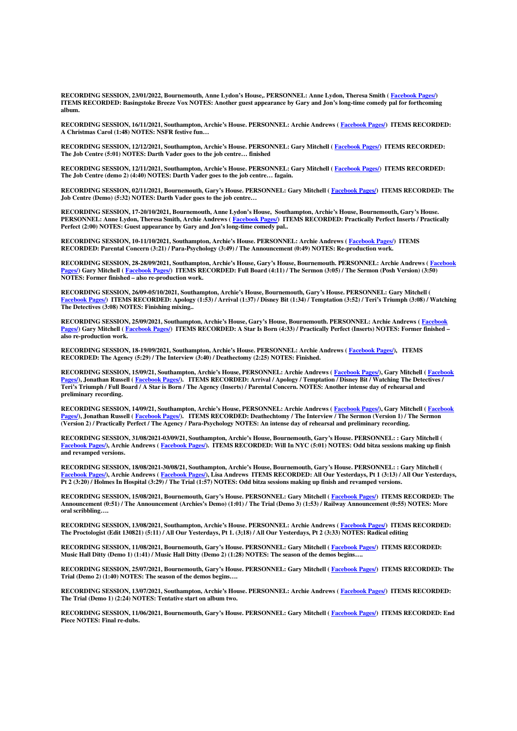**RECORDING SESSION, 23/01/2022, Bournemouth, Anne Lydon's House,. PERSONNEL: Anne Lydon, Theresa Smith ( Facebook Pages/) ITEMS RECORDED: Basingstoke Breeze Vox NOTES: Another guest appearance by Gary and Jon's long-time comedy pal for forthcoming album.** 

**RECORDING SESSION, 16/11/2021, Southampton, Archie's House. PERSONNEL: Archie Andrews ( Facebook Pages/) ITEMS RECORDED: A Christmas Carol (1:48) NOTES: NSFR festive fun…** 

**RECORDING SESSION, 12/12/2021, Southampton, Archie's House. PERSONNEL: Gary Mitchell ( Facebook Pages/) ITEMS RECORDED: The Job Centre (5:01) NOTES: Darth Vader goes to the job centre… finished** 

**RECORDING SESSION, 12/11/2021, Southampton, Archie's House. PERSONNEL: Gary Mitchell ( Facebook Pages/) ITEMS RECORDED: The Job Centre (demo 2) (4:40) NOTES: Darth Vader goes to the job centre… fagain.** 

**RECORDING SESSION, 02/11/2021, Bournemouth, Gary's House. PERSONNEL: Gary Mitchell ( Facebook Pages/) ITEMS RECORDED: The Job Centre (Demo) (5:32) NOTES: Darth Vader goes to the job centre…** 

**RECORDING SESSION, 17-20/10/2021, Bournemouth, Anne Lydon's House, Southampton, Archie's House, Bournemouth, Gary's House. PERSONNEL: Anne Lydon, Theresa Smith, Archie Andrews ( Facebook Pages/) ITEMS RECORDED: Practically Perfect Inserts / Practically Perfect (2:00) NOTES: Guest appearance by Gary and Jon's long-time comedy pal..** 

**RECORDING SESSION, 10-11/10/2021, Southampton, Archie's House. PERSONNEL: Archie Andrews ( Facebook Pages/) ITEMS RECORDED: Parental Concern (3:21) / Para-Psychology (3:49) / The Announcement (0:49) NOTES: Re-production work.** 

**RECORDING SESSION, 28-28/09/2021, Southampton, Archie's House, Gary's House, Bournemouth. PERSONNEL: Archie Andrews ( Facebook Pages/) Gary Mitchell ( Facebook Pages/) ITEMS RECORDED: Full Board (4:11) / The Sermon (3:05) / The Sermon (Posh Version) (3:50) NOTES: Former finished – also re-production work.** 

**RECORDING SESSION, 26/09-05/10/2021, Southampton, Archie's House, Bournemouth, Gary's House. PERSONNEL: Gary Mitchell ( Facebook Pages/) ITEMS RECORDED: Apology (1:53) / Arrival (1:37) / Disney Bit (1:34) / Temptation (3:52) / Teri's Triumph (3:08) / Watching The Detectives (3:08) NOTES: Finishing mixing..** 

**RECORDING SESSION, 25/09/2021, Southampton, Archie's House, Gary's House, Bournemouth. PERSONNEL: Archie Andrews ( Facebook Pages/) Gary Mitchell ( Facebook Pages/) ITEMS RECORDED: A Star Is Born (4:33) / Practically Perfect (Inserts) NOTES: Former finished – also re-production work.** 

**RECORDING SESSION, 18-19/09/2021, Southampton, Archie's House. PERSONNEL: Archie Andrews ( Facebook Pages/), ITEMS RECORDED: The Agency (5:29) / The Interview (3:40) / Deathectomy (2:25) NOTES: Finished.** 

**RECORDING SESSION, 15/09/21, Southampton, Archie's House, PERSONNEL: Archie Andrews ( Facebook Pages/), Gary Mitchell ( Facebook Pages/), Jonathan Russell ( Facebook Pages/). ITEMS RECORDED: Arrival / Apology / Temptation / Disney Bit / Watching The Detectives / Teri's Triumph / Full Board / A Star is Born / The Agency (Inserts) / Parental Concern. NOTES: Another intense day of rehearsal and preliminary recording.** 

**RECORDING SESSION, 14/09/21, Southampton, Archie's House, PERSONNEL: Archie Andrews ( Facebook Pages/), Gary Mitchell ( Facebook Pages/), Jonathan Russell ( Facebook Pages/). ITEMS RECORDED: Deathechtomy / The Interview / The Sermon (Version 1) / The Sermon (Version 2) / Practically Perfect / The Agency / Para-Psychology NOTES: An intense day of rehearsal and preliminary recording.** 

**RECORDING SESSION, 31/08/2021-03/09/21, Southampton, Archie's House, Bournemouth, Gary's House. PERSONNEL: : Gary Mitchell ( Facebook Pages/), Archie Andrews ( Facebook Pages/). ITEMS RECORDED: Will In NYC (5:01) NOTES: Odd bitza sessions making up finish and revamped versions.** 

**RECORDING SESSION, 18/08/2021-30/08/21, Southampton, Archie's House, Bournemouth, Gary's House. PERSONNEL: : Gary Mitchell ( Facebook Pages/), Archie Andrews ( Facebook Pages/), Lisa Andrews ITEMS RECORDED: All Our Yesterdays, Pt 1 (3:13) / All Our Yesterdays, Pt 2 (3:20) / Holmes In Hospital (3:29) / The Trial (1:57) NOTES: Odd bitza sessions making up finish and revamped versions.** 

**RECORDING SESSION, 15/08/2021, Bournemouth, Gary's House. PERSONNEL: Gary Mitchell ( Facebook Pages/) ITEMS RECORDED: The Announcement (0:51) / The Announcement (Archies's Demo) (1:01) / The Trial (Demo 3) (1:53) / Railway Announcement (0:55) NOTES: More oral scribbling….** 

**RECORDING SESSION, 13/08/2021, Southampton, Archie's House. PERSONNEL: Archie Andrews ( Facebook Pages/) ITEMS RECORDED: The Proctologist (Edit 130821) (5:11) / All Our Yesterdays, Pt 1. (3;18) / All Our Yesterdays, Pt 2 (3:33) NOTES: Radical editing** 

**RECORDING SESSION, 11/08/2021, Bournemouth, Gary's House. PERSONNEL: Gary Mitchell ( Facebook Pages/) ITEMS RECORDED: Music Hall Ditty (Demo 1) (1:41) / Music Hall Ditty (Demo 2) (1:28) NOTES: The season of the demos begins….** 

**RECORDING SESSION, 25/07/2021, Bournemouth, Gary's House. PERSONNEL: Gary Mitchell ( Facebook Pages/) ITEMS RECORDED: The Trial (Demo 2) (1:40) NOTES: The season of the demos begins….** 

**RECORDING SESSION, 13/07/2021, Southampton, Archie's House. PERSONNEL: Archie Andrews ( Facebook Pages/) ITEMS RECORDED: The Trial (Demo 1) (2:24) NOTES: Tentative start on album two.** 

**RECORDING SESSION, 11/06/2021, Bournemouth, Gary's House. PERSONNEL: Gary Mitchell ( Facebook Pages/) ITEMS RECORDED: End Piece NOTES: Final re-dubs.**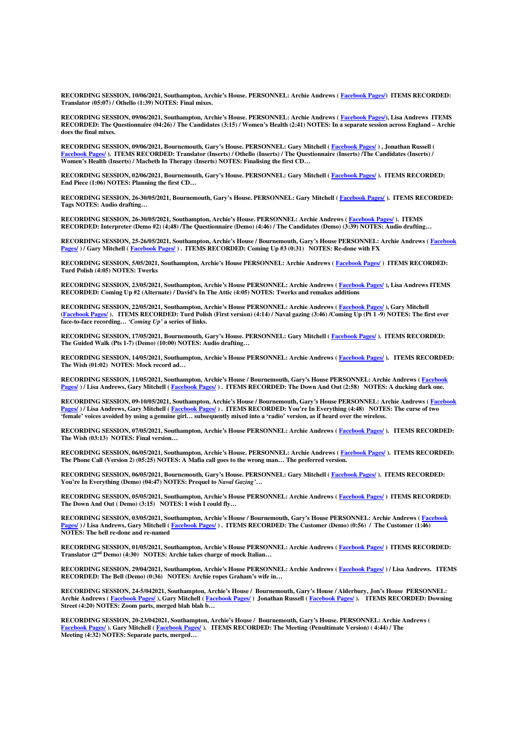**RECORDING SESSION, 10/06/2021, Southampton, Archie's House. PERSONNEL: Archie Andrews ( Facebook Pages/) ITEMS RECORDED: Translator (05:07) / Othello (1:39) NOTES: Final mixes.** 

**RECORDING SESSION, 09/06/2021, Southampton, Archie's House. PERSONNEL: Archie Andrews ( Facebook Pages/), Lisa Andrews ITEMS RECORDED: The Questionnaire (04:26) / The Candidates (3:15) / Women's Health (2:41) NOTES: In a separate session across England – Archie does the final mixes.** 

**RECORDING SESSION, 09/06/2021, Bournemouth, Gary's House. PERSONNEL: Gary Mitchell ( Facebook Pages/ ) , Jonathan Russell ( Facebook Pages/ ). ITEMS RECORDED: Translator (Inserts) / Othello (Inserts) / The Questionnaire (Inserts) /The Candidates (Inserts) / Women's Health (Inserts) / Macbeth In Therapy (Inserts) NOTES: Finalising the first CD…** 

**RECORDING SESSION, 02/06/2021, Bournemouth, Gary's House. PERSONNEL: Gary Mitchell ( Facebook Pages/ ). ITEMS RECORDED: End Piece (1:06) NOTES: Planning the first CD…** 

**RECORDING SESSION, 26-30/05/2021, Bournemouth, Gary's House. PERSONNEL: Gary Mitchell ( Facebook Pages/ ). ITEMS RECORDED: Tags NOTES: Audio drafting…** 

**RECORDING SESSION, 26-30/05/2021, Southampton, Archie's House. PERSONNEL: Archie Andrews ( Facebook Pages/ ). ITEMS RECORDED: Interpreter (Demo #2) (4;48) /The Questionnaire (Demo) (4:46) / The Candidates (Demo) (3:39) NOTES: Audio drafting…** 

**RECORDING SESSION, 25-26/05/2021, Southampton, Archie's House / Bournemouth, Gary's House PERSONNEL: Archie Andrews ( Facebook Pages/ ) / Gary Mitchell ( Facebook Pages/ ) . ITEMS RECORDED: Coming Up #3 (0:31) NOTES: Re-done with FX** 

**RECORDING SESSION, 5/05/2021, Southampton, Archie's House PERSONNEL: Archie Andrews ( Facebook Pages/ ) ITEMS RECORDED: Turd Polish (4:05) NOTES: Twerks** 

**RECORDING SESSION, 23/05/2021, Southampton, Archie's House PERSONNEL: Archie Andrews ( Facebook Pages/ ), Lisa Andrews ITEMS RECORDED: Coming Up #2 (Alternate) / David's In The Attic (4:05) NOTES: Twerks and remakes additions** 

**RECORDING SESSION, 22/05/2021, Southampton, Archie's House PERSONNEL: Archie Andrews ( Facebook Pages/ ), Gary Mitchell (Facebook Pages/ ). ITEMS RECORDED: Turd Polish (First version) (4:14) / Naval gazing (3:46) /Coming Up (Pt 1 -9) NOTES: The first ever face-to-face recording…** *'Coming Up'* **a series of links.** 

**RECORDING SESSION, 17/05/2021, Bournemouth, Gary's House. PERSONNEL: Gary Mitchell ( Facebook Pages/ ). ITEMS RECORDED: The Guided Walk (Pts 1-7) (Demo) (10:00) NOTES: Audio drafting…** 

**RECORDING SESSION, 14/05/2021, Southampton, Archie's House PERSONNEL: Archie Andrews ( Facebook Pages/ ). ITEMS RECORDED: The Wish (01:02) NOTES: Mock record ad…** 

**RECORDING SESSION, 11/05/2021, Southampton, Archie's House / Bournemouth, Gary's House PERSONNEL: Archie Andrews ( Facebook Pages/ ) / Lisa Andrews, Gary Mitchell ( Facebook Pages/ ) . ITEMS RECORDED: The Down And Out (2:58) NOTES: A ducking dark one.** 

**RECORDING SESSION, 09-10/05/2021, Southampton, Archie's House / Bournemouth, Gary's House PERSONNEL: Archie Andrews ( Facebook Pages/ ) / Lisa Andrews, Gary Mitchell ( Facebook Pages/ ) . ITEMS RECORDED: You're In Everything (4:48) NOTES: The curse of two 'female' voices avoided by using a genuine girl… subsequently mixed into a 'radio' version, as if heard over the wireless.** 

**RECORDING SESSION, 07/05/2021, Southampton, Archie's House PERSONNEL: Archie Andrews ( Facebook Pages/ ). ITEMS RECORDED: The Wish (03:13) NOTES: Final version…** 

**RECORDING SESSION, 06/05/2021, Southampton, Archie's House. PERSONNEL: Archie Andrews ( Facebook Pages/ ). ITEMS RECORDED: The Phone Call (Version 2) (05:25) NOTES: A Mafia call goes to the wrong man… The preferred version.** 

**RECORDING SESSION, 06/05/2021, Bournemouth, Gary's House. PERSONNEL: Gary Mitchell ( Facebook Pages/ ). ITEMS RECORDED: You're In Everything (Demo) (04:47) NOTES: Prequel to** *Naval Gazing'***…** 

**RECORDING SESSION, 05/05/2021, Southampton, Archie's House PERSONNEL: Archie Andrews ( Facebook Pages/ ) ITEMS RECORDED: The Down And Out ( Demo) (3:15) NOTES: I wish I could fly…** 

**RECORDING SESSION, 03/05/2021, Southampton, Archie's House / Bournemouth, Gary's House PERSONNEL: Archie Andrews ( Facebook Pages/ ) / Lisa Andrews, Gary Mitchell ( Facebook Pages/ ) . ITEMS RECORDED: The Customer (Demo) (0:56) / The Customer (1:46) NOTES: The bell re-done and re-named** 

**RECORDING SESSION, 01/05/2021, Southampton, Archie's House PERSONNEL: Archie Andrews ( Facebook Pages/ ) ITEMS RECORDED: Translator (2nd Demo) (4:30) NOTES: Archie takes charge of mock Italian…** 

**RECORDING SESSION, 29/04/2021, Southampton, Archie's House PERSONNEL: Archie Andrews ( Facebook Pages/ ) / Lisa Andrews. ITEMS RECORDED: The Bell (Demo) (0:36) NOTES: Archie ropes Graham's wife in…** 

**RECORDING SESSION, 24-5/042021, Southampton, Archie's House / Bournemouth, Gary's House / Alderbury, Jon's House PERSONNEL: Archie Andrews ( Facebook Pages/ ), Gary Mitchell ( Facebook Pages/ ) Jonathan Russell ( Facebook Pages/ ). ITEMS RECORDED: Downing Street (4:20) NOTES: Zoom parts, merged blah blah b…** 

**RECORDING SESSION, 20-23/042021, Southampton, Archie's House / Bournemouth, Gary's House. PERSONNEL: Archie Andrews ( Facebook Pages/ ). Gary Mitchell ( Facebook Pages/ ). ITEMS RECORDED: The Meeting (Penultimate Version) ( 4:44) / The Meeting (4:32) NOTES: Separate parts, merged…**